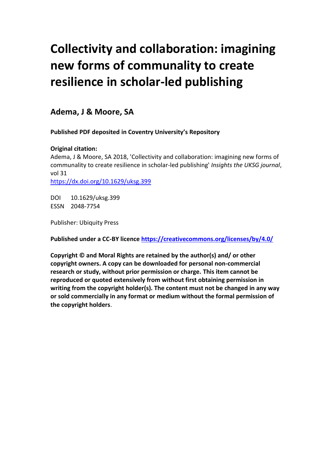## **Collectivity and collaboration: imagining new forms of communality to create resilience in scholar-led publishing**

### **Adema, J & Moore, SA**

**Published PDF deposited in Coventry University's Repository**

### **Original citation:**

Adema, J & Moore, SA 2018, 'Collectivity and collaboration: imagining new forms of communality to create resilience in scholar-led publishing' *Insights the UKSG journal*, vol 31 <https://dx.doi.org/10.1629/uksg.399>

DOI 10.1629/uksg.399 ESSN 2048-7754

Publisher: Ubiquity Press

**Published under a CC-BY licence<https://creativecommons.org/licenses/by/4.0/>**

**Copyright © and Moral Rights are retained by the author(s) and/ or other copyright owners. A copy can be downloaded for personal non-commercial research or study, without prior permission or charge. This item cannot be reproduced or quoted extensively from without first obtaining permission in writing from the copyright holder(s). The content must not be changed in any way or sold commercially in any format or medium without the formal permission of the copyright holders**.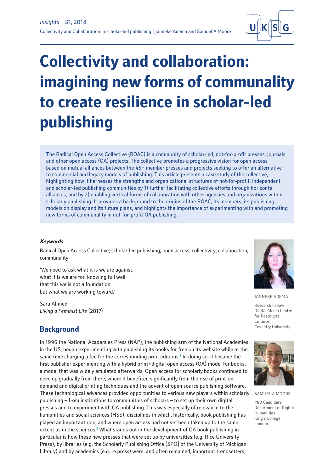

# **Collectivity and collaboration: imagining new forms of communality to create resilience in scholar-led publishing**

The Radical Open Access Collective (ROAC) is a community of scholar-led, not-for-profit presses, journals and other open access (OA) projects. The collective promotes a progressive vision for open access based on mutual alliances between the 45+ member presses and projects seeking to offer an alternative to commercial and legacy models of publishing. This article presents a case study of the collective, highlighting how it harnesses the strengths and organizational structures of not-for-profit, independent and scholar-led publishing communities by 1) further facilitating collective efforts through horizontal alliances, and by 2) enabling vertical forms of collaboration with other agencies and organizations within scholarly publishing. It provides a background to the origins of the ROAC, its members, its publishing models on display and its future plans, and highlights the importance of experimenting with and promoting new forms of communality in not-for-profit OA publishing.

### **Keywords**

Radical Open Access Collective; scholar-led publishing; open access; collectivity; collaboration; communality

'We need to ask what it is we are against, what it is we are for, knowing full well that this *we* is not a foundation but what we are working toward.'

Sara Ahmed *Living a Feminist Life* (2017)

### **Background**

In 1996 the National Academies Press (NAP), the publishing arm of the National Academies in the US, began experimenting with publishing its books for free on its website while at the same time charging a fee for the corresponding print editions.<sup>1</sup> In doing so, it became the first publisher experimenting with a hybrid print+digital open access (OA) model for books, a model that was widely emulated afterwards. Open access for scholarly books continued to develop gradually from there, where it benefited significantly from the rise of print-ondemand and digital printing techniques and the advent of open source publishing software. These technological advances provided opportunities to various new players within scholarly publishing – from institutions to communities of scholars – to set up their own digital presses and to experiment with OA publishing. This was especially of relevance to the humanities and social sciences (HSS), disciplines in which, historically, book publishing has played an important role, and where open access had not yet been taken up to the same extent as in the sciences.<sup>2</sup> What stands out in the development of OA book publishing in particular is how these new presses that were set up by universities (e.g. Rice University Press), by libraries (e.g. the Scholarly Publishing Office [SPO] of the University of Michigan Library) and by academics (e.g. re.press) were, and often remained, important trendsetters,



JANNEKE ADEMA

Research Fellow Digital Media Centre for Postdigital Cultures Coventry University



SAMUEL A MOORE

PhD Candidate Department of Digital Humanities King's College London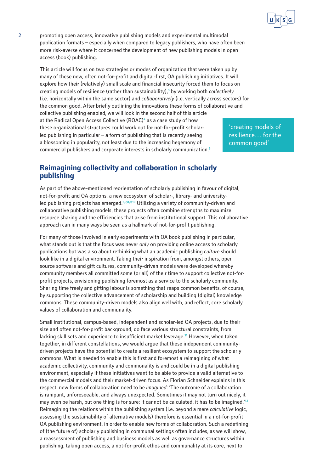

2 promoting open access, innovative publishing models and experimental multimodal publication formats – especially when compared to legacy publishers, who have often been more risk-averse where it concerned the development of new publishing models in open access (book) publishing.

This article will focus on two strategies or modes of organization that were taken up by many of these new, often not-for-profit and digital-first, OA publishing initiatives. It will explore how their (relatively) small scale and financial insecurity forced them to focus on creating models of resilience (rather than sustainability),**<sup>3</sup>** by working both *collectively* (i.e. horizontally within the same sector) and *collaboratively* (i.e. vertically across sectors) for the common good. After briefly outlining the innovations these forms of collaborative and collective publishing enabled, we will look in the second half of this article at the Radical Open Access Collective (ROAC)**<sup>4</sup>** as a case study of how these organizational structures could work out for not-for-profit scholarled publishing in particular  $-$  a form of publishing that is recently seeing a blossoming in popularity, not least due to the increasing hegemony of commercial publishers and corporate interests in scholarly communication.**<sup>5</sup>** 'creating models of resilience… for the common good'

### **Reimagining collectivity and collaboration in scholarly publishing**

As part of the above-mentioned reorientation of scholarly publishing in favour of digital, not-for-profit and OA options, a new ecosystem of scholar-, library- and universityled publishing projects has emerged.**6,7,8,9,10** Utilizing a variety of community-driven and collaborative publishing models, these projects often combine strengths to maximize resource sharing and the efficiencies that arise from institutional support. This collaborative approach can in many ways be seen as a hallmark of not-for-profit publishing.

For many of those involved in early experiments with OA book publishing in particular, what stands out is that the focus was never *only* on providing online access to scholarly publications but was also about rethinking what an academic publishing *culture* should look like in a digital environment. Taking their inspiration from, amongst others, open source software and gift cultures, community-driven models were developed whereby community members all committed some (or all) of their time to support collective not-forprofit projects, envisioning publishing foremost as a service to the scholarly community. Sharing time freely and gifting labour is something that reaps common benefits, of course, by supporting the collective advancement of scholarship and building (digital) knowledge commons. These community-driven models also align well with, and reflect, core scholarly values of collaboration and communality.

Small institutional, campus-based, independent and scholar-led OA projects, due to their size and often not-for-profit background, do face various structural constraints, from lacking skill sets and experience to insufficient market leverage.**<sup>11</sup>** However, when taken together, in different constellations, we would argue that these independent communitydriven projects have the potential to create a resilient ecosystem to support the scholarly commons. What is needed to enable this is first and foremost a reimagining of what academic collectivity, community and commonality is and could be in a digital publishing environment, especially if these initiatives want to be able to provide a valid alternative to the commercial models and their market-driven focus. As Florian Schneider explains in this respect, new forms of collaboration need to be *imagined*: 'The outcome of a collaboration is rampant, unforeseeable, and always unexpected. Sometimes it may not turn out nicely, it may even be harsh, but one thing is for sure: it cannot be calculated, it has to be imagined.'**<sup>12</sup>** Reimagining the relations within the publishing system (i.e. beyond a mere *calculative* logic, assessing the sustainability of alternative models) therefore is essential in a not-for-profit OA publishing environment, in order to enable new forms of collaboration. Such a redefining of (the future of) scholarly publishing in communal settings often includes, as we will show, a reassessment of publishing and business models as well as governance structures within publishing, taking open access, a not-for-profit ethos and communality at its core, next to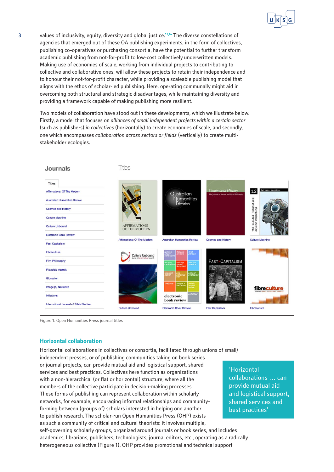

3 values of inclusivity, equity, diversity and global justice.**13,14** The diverse constellations of agencies that emerged out of these OA publishing experiments, in the form of collectives, publishing co-operatives or purchasing consortia, have the potential to further transform academic publishing from not-for-profit to low-cost collectively underwritten models. Making use of economies of scale, working from individual projects to contributing to collective and collaborative ones, will allow these projects to retain their independence and to honour their not-for-profit character, while providing a scaleable publishing model that aligns with the ethos of scholar-led publishing. Here, operating communally might aid in overcoming both structural and strategic disadvantages, while maintaining diversity and providing a framework capable of making publishing more resilient.

Two models of collaboration have stood out in these developments, which we illustrate below. Firstly, a model that focuses on *alliances of small independent projects within a certain sector* (such as publishers) *in collectives* (horizontally) to create economies of scale, and secondly, one which encompasses *collaboration across sectors or fields* (vertically) to create multistakeholder ecologies.



Figure 1. Open Humanities Press journal titles

### **Horizontal collaboration**

Horizontal collaborations in collectives or consortia, facilitated through unions of small/ independent presses, or of publishing communities taking on book series or journal projects, can provide mutual aid and logistical support, shared services and best practices. Collectives here function as organizations with a non-hierarchical (or flat or horizontal) structure, where all the members of the collective participate in decision-making processes. These forms of publishing can represent collaboration within scholarly networks, for example, encouraging informal relationships and communityforming between (groups of) scholars interested in helping one another to publish research. The scholar-run Open Humanities Press (OHP) exists as such a community of critical and cultural theorists: it involves multiple, self-governing scholarly groups, organized around journals or book series, and includes academics, librarians, publishers, technologists, journal editors, etc., operating as a radically heterogeneous collective (Figure 1). OHP provides promotional and technical support

'Horizontal collaborations … can provide mutual aid and logistical support, shared services and best practices'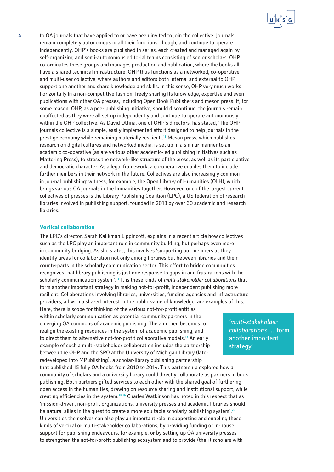

4 to OA journals that have applied to or have been invited to join the collective. Journals remain completely autonomous in all their functions, though, and continue to operate independently. OHP's books are published in series, each created and managed again by self-organizing and semi-autonomous editorial teams consisting of senior scholars. OHP co-ordinates these groups and manages production and publication, where the books all have a shared technical infrastructure. OHP thus functions as a networked, co-operative and multi-user collective, where authors and editors both internal and external to OHP support one another and share knowledge and skills. In this sense, OHP very much works horizontally in a non-competitive fashion, freely sharing its knowledge, expertise and even publications with other OA presses, including Open Book Publishers and meson press. If, for some reason, OHP, as a peer publishing initiative, should discontinue, the journals remain unaffected as they were all set up independently and continue to operate autonomously within the OHP collective. As David Ottina, one of OHP's directors, has stated, 'The OHP journals collective is a simple, easily implemented effort designed to help journals in the prestige economy while remaining materially resilient'.**<sup>15</sup>** Meson press, which publishes research on digital cultures and networked media, is set up in a similar manner to an academic co-operative (as are various other academic-led publishing initiatives such as Mattering Press), to stress the network-like structure of the press, as well as its participative and democratic character. As a legal framework, a co-operative enables them to include further members in their network in the future. Collectives are also increasingly common in journal publishing: witness, for example, the Open Library of Humanities (OLH), which brings various OA journals in the humanities together. However, one of the largest current collectives of presses is the Library Publishing Coalition (LPC), a US federation of research libraries involved in publishing support, founded in 2013 by over 60 academic and research libraries.

### **Vertical collaboration**

The LPC's director, Sarah Kalikman Lippincott, explains in a recent article how collectives such as the LPC play an important role in community building, but perhaps even more in community bridging. As she states, this involves 'supporting our members as they identify areas for collaboration not only among libraries but between libraries and their counterparts in the scholarly communication sector. This effort to bridge communities recognizes that library publishing is just one response to gaps in and frustrations with the scholarly communication system'.**<sup>16</sup>** It is these kinds of *multi-stakeholder collaborations* that form another important strategy in making not-for-profit, independent publishing more resilient. Collaborations involving libraries, universities, funding agencies and infrastructure providers, all with a shared interest in the public value of knowledge, are examples of this. Here, there is scope for thinking of the various not-for-profit entities within scholarly communication as potential community partners in the emerging OA commons of academic publishing. The aim then becomes to realign the existing resources in the system of academic publishing, and to direct them to alternative not-for-profit collaborative models.**<sup>17</sup>** An early example of such a multi-stakeholder collaboration includes the partnership between the OHP and the SPO at the University of Michigan Library (later redeveloped into MPublishing), a scholar-library publishing partnership that published 15 fully OA books from 2010 to 2014. This partnership explored how a community of scholars and a university library could directly collaborate as partners in book publishing. Both partners gifted services to each other with the shared goal of furthering open access in the humanities, drawing on resource sharing and institutional support, while creating efficiencies in the system.**18,19** Charles Watkinson has noted in this respect that as 'mission-driven, non-profit organizations, university presses and academic libraries should be natural allies in the quest to create a more equitable scholarly publishing system'.**<sup>20</sup>** Universities themselves can also play an important role in supporting and enabling these kinds of vertical or multi-stakeholder collaborations, by providing funding or in-house support for publishing endeavours, for example, or by setting up OA university presses to strengthen the not-for-profit publishing ecosystem and to provide (their) scholars with

*'multi-stakeholder collaborations …* form another important strategy'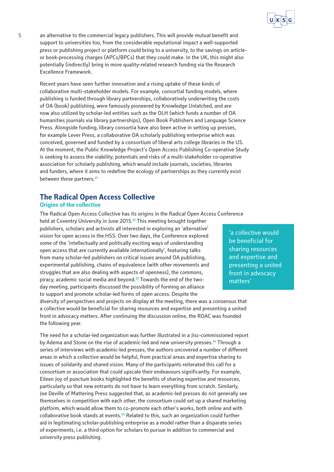

5 an alternative to the commercial legacy publishers. This will provide mutual benefit and support to universities too, from the considerable reputational impact a well-supported press or publishing project or platform could bring to a university, to the savings on articleor book-processing charges (APCs/BPCs) that they could make. In the UK, this might also potentially (indirectly) bring in more quality-related research funding via the Research Excellence Framework.

Recent years have seen further innovation and a rising uptake of these kinds of collaborative multi-stakeholder models. For example, consortial funding models, where publishing is funded through library partnerships, collaboratively underwriting the costs of OA (book) publishing, were famously pioneered by Knowledge Unlatched, and are now also utilized by scholar-led entities such as the OLH (which funds a number of OA humanities journals via library partnerships), Open Book Publishers and Language Science Press. Alongside funding, library consortia have also been active in setting up presses, for example Lever Press, a collaborative OA scholarly publishing enterprise which was conceived, governed and funded by a consortium of liberal arts college libraries in the US. At the moment, the Public Knowledge Project's Open Access Publishing Co-operative Study is seeking to assess the viability, potentials and risks of a multi-stakeholder co-operative association for scholarly publishing, which would include journals, societies, libraries and funders, where it aims to redefine the ecology of partnerships as they currently exist between these partners.**<sup>21</sup>**

### **The Radical Open Access Collective**

### **Origins of the collective**

The Radical Open Access Collective has its origins in the Radical Open Access Conference

held at Coventry University in June 2015.**<sup>22</sup>** This meeting brought together publishers, scholars and activists all interested in exploring an 'alternative' vision for open access in the HSS. Over two days, the Conference explored some of the 'intellectually and politically exciting ways of understanding open access that are currently available internationally', featuring talks from many scholar-led publishers on critical issues around OA publishing, experimental publishing, chains of equivalence (with other movements and struggles that are also dealing with aspects of openness), the commons, piracy, academic social media and beyond.**23** Towards the end of the twoday meeting, participants discussed the possibility of forming an alliance to support and promote scholar-led forms of open access. Despite the

diversity of perspectives and projects on display at the meeting, there was a consensus that a collective would be beneficial for sharing resources and expertise and presenting a united front in advocacy matters. After continuing the discussion online, the ROAC was founded the following year.

The need for a scholar-led organization was further illustrated in a Jisc-commissioned report by Adema and Stone on the rise of academic-led and new university presses.**<sup>24</sup>** Through a series of interviews with academic-led presses, the authors uncovered a number of different areas in which a collective would be helpful, from practical areas and expertise sharing to issues of solidarity and shared vision. Many of the participants reiterated this call for a consortium or association that could upscale their endeavours significantly. For example, Eileen Joy of punctum books highlighted the benefits of sharing expertise and resources, particularly so that new entrants do not have to learn everything from scratch. Similarly, Joe Deville of Mattering Press suggested that, as academic-led presses do not generally see themselves in competition with each other, the consortium could set up a shared marketing platform, which would allow them to co-promote each other's works, both online and with collaborative book stands at events.**<sup>25</sup>** Related to this, such an organization could further aid in legitimating scholar-publishing enterprise as a model rather than a disparate series of experiments, i.e. a third option for scholars to pursue in addition to commercial and university press publishing.

'a collective would be beneficial for sharing resources and expertise and presenting a united front in advocacy matters'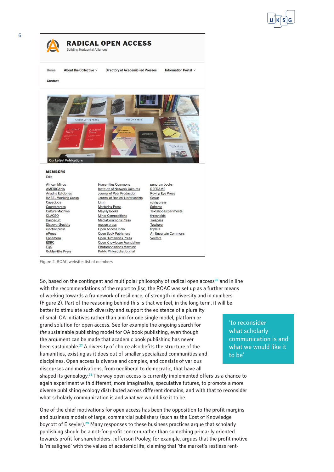

Figure 2. ROAC website: list of members

So, based on the contingent and multipolar philosophy of radical open access**<sup>26</sup>** and in line with the recommendations of the report to Jisc, the ROAC was set up as a further means of working towards a framework of resilience, of strength in diversity and in numbers (Figure 2). Part of the reasoning behind this is that we feel, in the long term, it will be better to stimulate such diversity and support the existence of a plurality of small OA initiatives rather than aim for one single model, platform or grand solution for open access. See for example the ongoing search for *the* sustainable publishing model for OA book publishing, even though the argument can be made that academic book publishing has never been sustainable.**<sup>27</sup>** A diversity of choice also befits the structure of the humanities, existing as it does out of smaller specialized communities and disciplines. Open access is diverse and complex, and consists of various discourses and motivations, from neoliberal to democratic, that have all

shaped its genealogy.**<sup>28</sup>** The way open access is currently implemented offers us a chance to again experiment with different, more imaginative, speculative futures, to promote a more diverse publishing ecology distributed across different domains, and with that to reconsider what scholarly communication is and what we would like it to be.

One of the chief motivations for open access has been the opposition to the profit margins and business models of large, commercial publishers (such as the Cost of Knowledge boycott of Elsevier).**<sup>29</sup>** Many responses to these business practices argue that scholarly publishing should be a not-for-profit concern rather than something primarily oriented towards profit for shareholders. Jefferson Pooley, for example, argues that the profit motive is 'misaligned' with the values of academic life, claiming that 'the market's restless rent-

'to reconsider what scholarly communication is and what we would like it to be'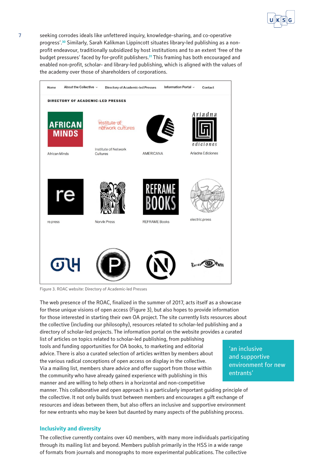

7 seeking corrodes ideals like unfettered inquiry, knowledge-sharing, and co-operative progress'.**30** Similarly, Sarah Kalikman Lippincott situates library-led publishing as a nonprofit endeavour, traditionally subsidized by host institutions and to an extent 'free of the budget pressures' faced by for-profit publishers.**<sup>31</sup>** This framing has both encouraged and enabled non-profit, scholar- and library-led publishing, which is aligned with the values of the academy over those of shareholders of corporations.



Figure 3. ROAC website: Directory of Academic-led Presses

The web presence of the ROAC, finalized in the summer of 2017, acts itself as a showcase for these unique visions of open access (Figure 3), but also hopes to provide information for those interested in starting their own OA project. The site currently lists resources about the collective (including our philosophy), resources related to scholar-led publishing and a directory of scholar-led projects. The information portal on the website provides a curated

list of articles on topics related to scholar-led publishing, from publishing tools and funding opportunities for OA books, to marketing and editorial advice. There is also a curated selection of articles written by members about the various radical conceptions of open access on display in the collective. Via a mailing list, members share advice and offer support from those within the community who have already gained experience with publishing in this manner and are willing to help others in a horizontal and non-competitive

manner. This collaborative and open approach is a particularly important guiding principle of the collective. It not only builds trust between members and encourages a gift exchange of resources and ideas between them, but also offers an inclusive and supportive environment for new entrants who may be keen but daunted by many aspects of the publishing process.

### **Inclusivity and diversity**

The collective currently contains over 40 members, with many more individuals participating through its mailing list and beyond. Members publish primarily in the HSS in a wide range of formats from journals and monographs to more experimental publications. The collective

'an inclusive and supportive environment for new entrants'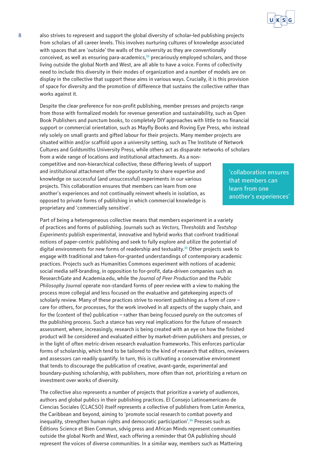

8 also strives to represent and support the global diversity of scholar-led publishing projects from scholars of all career levels. This involves nurturing cultures of knowledge associated with spaces that are 'outside' the walls of the university as they are conventionally conceived, as well as ensuring para-academics,**<sup>32</sup>** precariously employed scholars, and those living outside the global North and West, are all able to have a voice. Forms of collectivity need to include this diversity in their modes of organization and a number of models are on display in the collective that support these aims in various ways. Crucially, it is this provision of space for diversity and the promotion of difference that sustains the collective rather than works against it.

Despite the clear preference for non-profit publishing, member presses and projects range from those with formalized models for revenue generation and sustainability, such as Open Book Publishers and punctum books, to completely DIY approaches with little to no financial support or commercial orientation, such as Mayfly Books and Roving Eye Press, who instead rely solely on small grants and gifted labour for their projects. Many member projects are situated within and/or scaffold upon a university setting, such as The Institute of Network Cultures and Goldsmiths University Press, while others act as disparate networks of scholars from a wide range of locations and institutional attachments. As a noncompetitive and non-hierarchical collective, these differing levels of support and institutional attachment offer the opportunity to share expertise and knowledge on successful (and unsuccessful) experiments in our various projects. This collaboration ensures that members can learn from one another's experiences and not continually reinvent wheels in isolation, as opposed to private forms of publishing in which commercial knowledge is proprietary and 'commercially sensitive'.

Part of being a heterogeneous collective means that members experiment in a variety of practices and forms of publishing. Journals such as *Vectors, Thresholds* and *Textshop Experiments* publish experimental, innovative and hybrid works that confront traditional notions of paper-centric publishing and seek to fully explore and utilize the potential of digital environments for new forms of readership and textuality.**<sup>33</sup>** Other projects seek to engage with traditional and taken-for-granted understandings of contemporary academic practices. Projects such as Humanities Commons experiment with notions of academic social media self-branding, in opposition to for-profit, data-driven companies such as ResearchGate and [Academia.edu](https://Academia.edu), while the *Journal of Peer Production* and the *Public Philosophy Journal* operate non-standard forms of peer review with a view to making the process more collegial and less focused on the evaluative and gatekeeping aspects of scholarly review. Many of these practices strive to reorient publishing as a form of *care* – care for others, for processes, for the work involved in all aspects of the supply chain, and for the (content of the) publication – rather than being focused purely on the outcomes of the publishing process. Such a stance has very real implications for the future of research assessment, where, increasingly, research is being created with an eye on how the finished product will be considered and evaluated either by market-driven publishers and presses, or in the light of often metric-driven research evaluation frameworks. This enforces particular forms of scholarship, which tend to be tailored to the kind of research that editors, reviewers and assessors can readily quantify. In turn, this is cultivating a conservative environment that tends to discourage the publication of creative, avant-garde, experimental and boundary-pushing scholarship, with publishers, more often than not, prioritizing a return on investment over works of diversity.

The collective also represents a number of projects that prioritize a variety of audiences, authors and global publics in their publishing practices. El Consejo Latinoamericano de Ciencias Sociales (CLACSO) itself represents a collective of publishers from Latin America, the Caribbean and beyond, aiming to 'promote social research to combat poverty and inequality, strengthen human rights and democratic participation'.**<sup>34</sup>** Presses such as Éditions Science et Bien Commun, sdvig press and African Minds represent communities outside the global North and West, each offering a reminder that OA publishing should represent the voices of diverse communities. In a similar way, members such as Mattering

'collaboration ensures that members can learn from one another's experiences'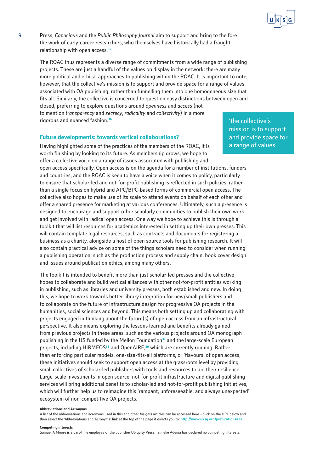

9 Press, *Capacious* and the *Public Philosophy Journal* aim to support and bring to the fore the work of early-career researchers, who themselves have historically had a fraught relationship with open access.**<sup>35</sup>**

The ROAC thus represents a diverse range of commitments from a wide range of publishing projects. These are just a handful of the values on display in the network; there are many more political and ethical approaches to publishing within the ROAC. It is important to note, however, that the collective's mission is to support and provide space for a range of values associated with OA publishing, rather than funnelling them into one homogeneous size that fits all. Similarly, the collective is concerned to question easy distinctions between open and closed, preferring to explore questions around *openness* and *access* (not to mention *transparency* and *secrecy*, *radicality* and *collectivity*) in a more rigorous and nuanced fashion.**<sup>36</sup>**

#### **Future developments: towards vertical collaborations?**

Having highlighted some of the practices of the members of the ROAC, it is worth finishing by looking to its future. As membership grows, we hope to offer a collective voice on a range of issues associated with publishing and open access specifically. Open access is on the agenda for a number of institutions, funders and countries, and the ROAC is keen to have a voice when it comes to policy, particularly to ensure that scholar-led and not-for-profit publishing is reflected in such policies, rather than a single focus on hybrid and APC/BPC-based forms of commercial open access. The collective also hopes to make use of its scale to attend events on behalf of each other and offer a shared presence for marketing at various conferences. Ultimately, such a presence is designed to encourage and support other scholarly communities to publish their own work and get involved with radical open access. One way we hope to achieve this is through a toolkit that will list resources for academics interested in setting up their own presses. This will contain template legal resources, such as contracts and documents for registering a business as a charity, alongside a host of open source tools for publishing research. It will also contain practical advice on some of the things scholars need to consider when running a publishing operation, such as the production process and supply chain, book cover design and issues around publication ethics, among many others.

The toolkit is intended to benefit more than just scholar-led presses and the collective hopes to collaborate and build vertical alliances with other not-for-profit entities working in publishing, such as libraries and university presses, both established and new. In doing this, we hope to work towards better library integration for new/small publishers and to collaborate on the future of infrastructure design for progressive OA projects in the humanities, social sciences and beyond. This means both setting up and collaborating with projects engaged in thinking about the future(s) of open access from an infrastructural perspective. It also means exploring the lessons learned and benefits already gained from previous projects in these areas, such as the various projects around OA monograph publishing in the US funded by the Mellon Foundation**<sup>37</sup>** and the large-scale European projects, including HIRMEOS**<sup>38</sup>** and OpenAIRE,**<sup>39</sup>** which are currently running. Rather than enforcing particular models, one-size-fits-all platforms, or 'flavours' of open access, these initiatives should seek to support open access at the grassroots level by providing small collectives of scholar-led publishers with tools and resources to aid their resilience. Large-scale investments in open source, not-for-profit infrastructure and digital publishing services will bring additional benefits to scholar-led and not-for-profit publishing initiatives, which will further help us to reimagine this 'rampant, unforeseeable, and always unexpected' ecosystem of non-competitive OA projects.

#### **Abbreviations and Acronyms**

A list of the abbreviations and acronyms used in this and other *Insight*s articles can be accessed here – click on the URL below and then select the 'Abbreviations and Acronyms' link at the top of the page it directs you to: **<http://www.uksg.org/publications#aa>**

#### **Competing interests**

Samuel A Moore is a part-time employee of the publisher Ubiquity Press; Janneke Adema has declared no competing interests.

'the collective's mission is to support and provide space for a range of values'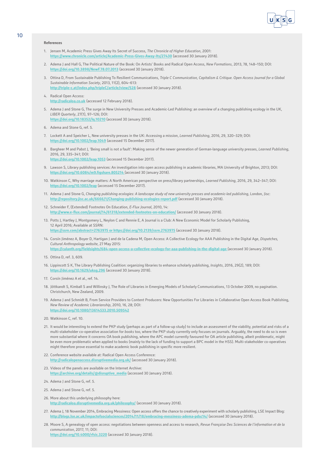

#### **References**

- 1. Jensen M, Academic Press Gives Away Its Secret of Success, *The Chronicle of Higher Education*, 2001: **<https://www.chronicle.com/article/Academic-Press-Gives-Away-Its/27430>** (accessed 30 January 2018).
- 2. Adema J and Hall G, The Political Nature of the Book: On Artists' Books and Radical Open Access, *New Formations*, 2013, 78, 148–150; DOI: **<https://doi.org/10.3898/NewF.78.07.2013>** (accessed 30 January 2018).
- 3. Ottina D, From Sustainable Publishing To Resilient Communications, *Triple C Communication, Capitalism & Critique. Open Access Journal for a Global Sustainable Information Society*, 2013, 11(2), 604–613: **<http://triple-c.at/index.php/tripleC/article/view/528>** (accessed 30 January 2018).
- 4. Radical Open Access: **<http://radicaloa.co.uk>** (accessed 12 February 2018).
- 5. Adema J and Stone G, The surge in New University Presses and Academic-Led Publishing: an overview of a changing publishing ecology in the UK, *LIBER Quarterly*, 27(1), 97–126; DOI:
- **<https://doi.org/10.18352/lq.10210>** (accessed 30 January 2018).
- 6. Adema and Stone G, ref. 5.
- 7. Lockett A and Speicher L, New university presses in the UK: Accessing a mission, *Learned Publishing*, 2016, 29, 320–329; DOI: **<https://doi.org/10.1002/leap.1049>** (accessed 15 December 2017).
- 8. Bargheer M and Pabst J, 'Being small is not a fault': Making sense of the newer generation of German-language university presses, *Learned Publishing*, 2016, 29, 335–341; DOI:
- **<https://doi.org/10.1002/leap.1053>** (accessed 15 December 2017).
- 9. Lawson S, Library publishing services: An investigation into open access publishing in academic libraries, MA University of Brighton, 2013; DOI: **<https://doi.org/10.6084/m9.figshare.805214>** (accessed 30 January 2018).
- 10. Watkinson C, Why marriage matters: A North American perspective on press/library partnerships, *Learned Publishing*, 2016, 29, 342–347; DOI: **<https://doi.org/10.1002/leap>** (accessed 15 December 2017).
- 11. Adema J and Stone G, *Changing publishing ecologies: A landscape study of new university presses and academic-led publishing*, London, Jisc: **<http://repository.jisc.ac.uk/6666/1/Changing-publishing-ecologies-report.pdf>** (accessed 30 January 2018).
- 12. Schneider F, (Extended) Footnotes On Education, *E-Flux Journal*, 2010, 14: **<http://www.e-flux.com/journal/14/61318/extended-footnotes-on-education/>** (accessed 30 January 2018).
- 13. Potts J, Hartley J, Montgomery L, Neylon C and Rennie E, A Journal is a Club: A New Economic Model for Scholarly Publishing, 12 April 2016; Available at SSRN: **<https://ssrn.com/abstract=2763975 or https://doi.org/10.2139/ssrn.2763975>** (accessed 30 January 2018).
- 14. Corsín Jiménez A, Boyer D, Hartigan J and de la Cadena M, Open Access: A Collective Ecology for AAA Publishing in the Digital Age, *Dispatches, Cultural Anthropology website*, 27 May 2015: **<https://culanth.org/fieldsights/684-open-access-a-collective-ecology-for-aaa-publishing-in-the-digital-age>** (accessed 30 January 2018).
- 15. Ottina D, ref. 3, 609.
- 16. Lippincott S K, The Library Publishing Coalition: organizing libraries to enhance scholarly publishing, *Insights*, 2016, 29(2), 189; DOI: **<https://doi.org/10.1629/uksg.296>** (accessed 30 January 2018).
- 17. Corsín liménez A et al., ref. 14.
- 18. Jöttkandt S, Kimball S and Willinsky J, The Role of Libraries in Emerging Models of Scholarly Communications, 13 October 2009, no pagination. Christchurch, New Zealand, 2009.
- 19. Adema J and Schmidt B, From Service Providers to Content Producers: New Opportunities For Libraries in Collaborative Open Access Book Publishing, *New Review of Academic Librarianship*, 2010, 16, 28; DOI: **<https://doi.org/10.1080/13614533.2010.509542>**
- 20. Watkinson C, ref. 10.
- 21. It would be interesting to extend the PKP study (perhaps as part of a follow-up study) to include an assessment of the viability, potential and risks of a multi-stakeholder co-operative association for *books* too, where the PKP study currently only focuses on journals. Arguably, the need to do so is even more substantial where it concerns OA book publishing, where the APC model currently favoured for OA article publishing, albeit problematic, might be even more problematic when applied to books (mainly to the lack of funding to support a BPC model in the HSS). Multi-stakeholder co-operatives might therefore prove essential to make academic book publishing in specific more resilient.
- 22. Conference website available at: Radical Open Access Conference: **<http://radicalopenaccess.disruptivemedia.org.uk/>** (accessed 30 January 2018).
- 23. Videos of the panels are available on the Internet Archive: **[https://archive.org/details/@disruptive\\_media](https://archive.org/details/@disruptive_media)** (accessed 30 January 2018).
- 24. Adema J and Stone G, ref. 5.
- 25. Adema J and Stone G, ref. 5.
- 26. More about this underlying philosophy here: **<http://radicaloa.disruptivemedia.org.uk/philosophy/>** (accessed 30 January 2018).
- 27. Adema J, 18 November 2014, Embracing Messiness: Open access offers the chance to creatively experiment with scholarly publishing, LSE Impact Blog: **<http://blogs.lse.ac.uk/impactofsocialsciences/2014/11/18/embracing-messiness-adema-pdsc14/>** (accessed 30 January 2018).
- 28. Moore S, A genealogy of open access: negotiations between openness and access to research, *Revue Française Des Sciences de l'information et de la communication*, 2017, 11; DOI: **<https://doi.org/10.4000/rfsic.3220>** (accessed 30 January 2018).

10